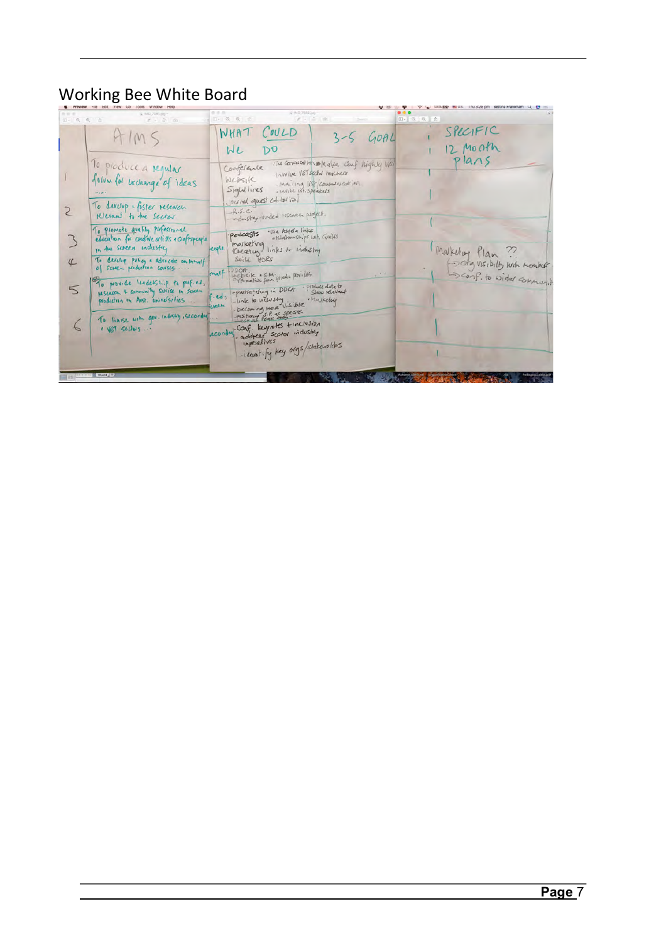## Working Bee White Board

| $\begin{array}{c ccccccccc} \multicolumn{3}{c }{\textbf{D}-}\textbf{C} & \textbf{C} & \textbf{C} & \textbf{C} & \textbf{C} \end{array}$ | $8 - 5 - 61$                                                                                                | $10 - 12 - 21 = 0$<br>$r - \theta$ $\theta$                                                                                                                            | EV Q Q 台                                                |
|-----------------------------------------------------------------------------------------------------------------------------------------|-------------------------------------------------------------------------------------------------------------|------------------------------------------------------------------------------------------------------------------------------------------------------------------------|---------------------------------------------------------|
|                                                                                                                                         | HIMS                                                                                                        | WHAT COULD<br>$3-5$ GOAL<br>D <sub>0</sub><br>WL                                                                                                                       | SPECIFIC<br>$12 \mu$ onth                               |
|                                                                                                                                         | To produce a regular<br>folvon for exchange of ideas.                                                       | The conversation Meter Conf Nighty VISI<br>Coorciance<br>I volve VET sechal teachers<br>WEDSIK<br>. Mailing list communication<br>Sightlines<br>« Invite int. speakels | plans                                                   |
|                                                                                                                                         | To during + foster research<br>Klevant to the sector                                                        | Journal quest chitatial<br>R.S.C.<br>industry unded research project.                                                                                                  |                                                         |
|                                                                                                                                         | To promote quality professional<br>education for chedric artists a craftspeople<br>In the screen industry   | · Use Aspela links<br>podcasts<br>a Klartonships with Guilds<br>marketing<br>exple.<br>Kreatur links to indestry                                                       | Makering Plan                                           |
| $\sqrt{ }$                                                                                                                              | To develop policy a advocate on hemalf<br>of screen production conises<br>To provide leadership to profied. | Suild HDRS<br>enalf<br>Pufferential from private provides.                                                                                                             | forg VISIbilly with member-<br>Sconf. to wide community |
|                                                                                                                                         | MSEARCH & Community Service In Seneen<br>production in Aust. Universities                                   | -participting in DDCA Product data to<br>$6.$ ed $_2$<br>-link to inclusing show kell<br>- becoming the existible halkeling<br>position of the seat<br>ween            |                                                         |
|                                                                                                                                         | To lianse with gov. Industry, secondary<br>I VET Sechons                                                    | econdar Conf. Keynotes finclusion<br>- address sector industry<br>-identify key orgs/station Ides                                                                      |                                                         |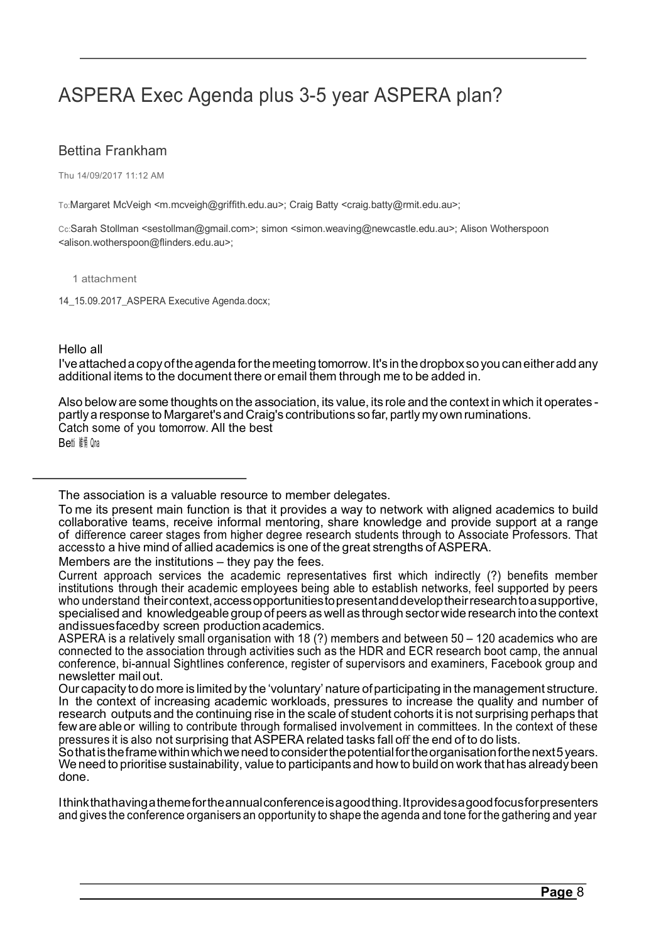# ASPERA Exec Agenda plus 3-5 year ASPERA plan?

## Bettina Frankham

Thu 14/09/2017 11:12 AM

To:Margaret McVeigh <m.mcveigh@griffith.edu.au>; Craig Batty <craig.batty@rmit.edu.au>;

Cc:Sarah Stollman <sestollman@gmail.com>; simon <simon.weaving@newcastle.edu.au>; Alison Wotherspoon <alison.wotherspoon@flinders.edu.au>;

1 attachment

14\_15.09.2017\_ASPERA Executive Agenda.docx;

### Hello all

I'veattacheda copyoftheagenda forthemeeting tomorrow.It's in thedropbox soyou caneitheradd any additional items to the document there or email them through me to be added in.

Also below are some thoughts on the association, its value, its role and the context in which it operates partly a response to Margaret's and Craig's contributions so far, partly my own ruminations. Catch some of you tomorrow. All the best

**Betti 維 Qna** 

Members are the institutions – they pay the fees.

Ithinkthathavingathemefortheannualconferenceisagoodthing.Itprovidesagoodfocusforpresenters and gives the conference organisers an opportunity to shape the agenda and tone for the gathering and year

The association is a valuable resource to member delegates.

To me its present main function is that it provides a way to network with aligned academics to build collaborative teams, receive informal mentoring, share knowledge and provide support at a range of difference career stages from higher degree research students through to Associate Professors. That accessto a hive mind of allied academics is one of the great strengths of ASPERA.

Current approach services the academic representatives first which indirectly (?) benefits member institutions through their academic employees being able to establish networks, feel supported by peers who understand their context, access opportunities to present and develop their research to a supportive, specialised and knowledgeable group of peers as well as through sector wide research into the context andissuesfacedby screen production academics.

ASPERA is a relatively small organisation with 18 (?) members and between 50 – 120 academics who are connected to the association through activities such as the HDR and ECR research boot camp, the annual conference, bi-annual Sightlines conference, register of supervisors and examiners, Facebook group and newsletter mail out.

Our capacity to do more is limitedby the 'voluntary' nature ofparticipating in the management structure. In the context of increasing academic workloads, pressures to increase the quality and number of research outputs and the continuing rise in the scale of student cohorts it is not surprising perhaps that few are able or willing to contribute through formalised involvement in committees. In the context of these pressures it is also not surprising that ASPERA related tasks fall off the end of to do lists.

Sothatistheframewithinwhichweneedtoconsiderthepotentialfortheorganisationforthenext5years. We need to prioritise sustainability, value to participants and how to build on work that has already been done.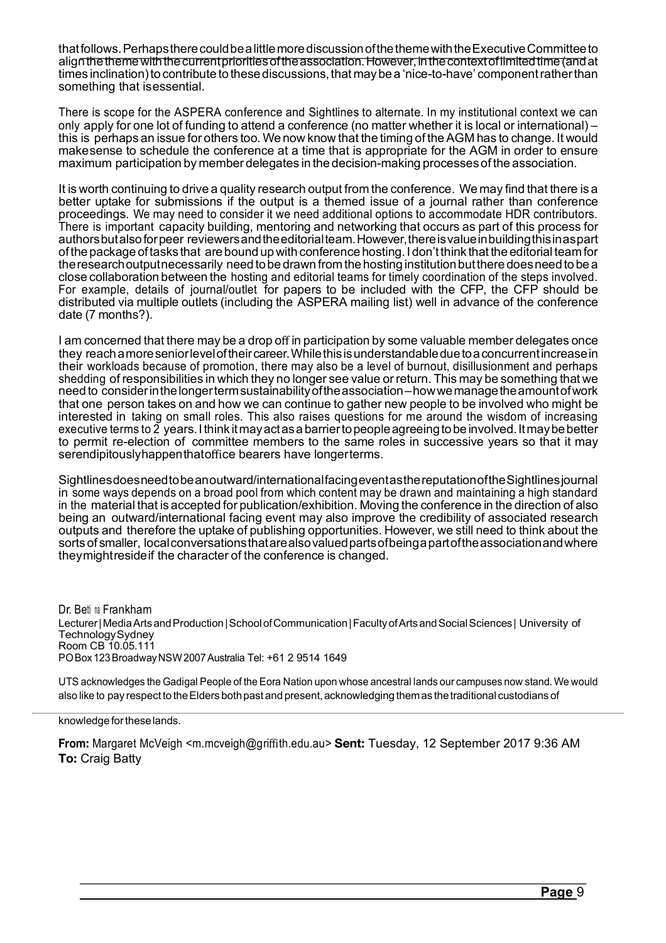thatfollows.PerhapstherecouldbealittlemorediscussionofthethemewiththeExecutiveCommitteeto alignthethemewiththecurrentprioritiesoftheassociation.However,inthecontextoflimitedtime(andat times inclination) to contribute to these discussions, that may be a 'nice-to-have' component rather than something that isessential.

There is scope for the ASPERA conference and Sightlines to alternate. In my institutional context we can only apply for one lot of funding to attend a conference (no matter whether it is local or international) – this is perhaps an issue for others too. We now know that the timing of the AGM has to change. It would makesense to schedule the conference at a time that is appropriate for the AGM in order to ensure maximum participation by member delegates in the decision-making processesof the association.

It is worth continuing to drive a quality research output from the conference. We may find that there is a better uptake for submissions if the output is a themed issue of a journal rather than conference proceedings. We may need to consider it we need additional options to accommodate HDR contributors. There is important capacity building, mentoring and networking that occurs as part of this process for authorsbutalsoforpeer reviewersandtheeditorialteam.However,thereisvalueinbuildingthisinaspart ofthepackage oftasks that are bound upwith conference hosting.Idon'tthink that the editorial team for the research output necessarily need to be drawn from the hosting institution but there does need to be a close collaboration between the hosting and editorial teams for timely coordination of the steps involved. For example, details of journal/outlet for papers to be included with the CFP, the CFP should be distributed via multiple outlets (including the ASPERA mailing list) well in advance of the conference date (7 months?).

I am concerned that there may be a drop off in participation by some valuable member delegates once they reachamoreseniorleveloftheircareer.Whilethisisunderstandableduetoaconcurrentincreasein their workloads because of promotion, there may also be a level of burnout, disillusionment and perhaps shedding of responsibilities in which they no longer see value or return. This may be something that we need to considerinthelongertermsustainabilityoftheassociation–howwemanagetheamountofwork that one person takes on and how we can continue to gather new people to be involved who might be interested in taking on small roles. This also raises questions for me around the wisdom of increasing executive terms to 2 years. I think it may act as a barrier to people agreeing to be involved. It may be better to permit re-election of committee members to the same roles in successive years so that it may serendipitouslyhappenthatoffice bearers have longerterms.

Sightlinesdoesneedtobeanoutward/internationalfacingeventasthereputationoftheSightlinesjournal in some ways depends on a broad pool from which content may be drawn and maintaining a high standard in the material that is accepted for publication/exhibition. Moving the conference in the direction of also being an outward/international facing event may also improve the credibility of associated research outputs and therefore the uptake of publishing opportunities. However, we still need to think about the sortsof smaller, localconversationsthatarealsovaluedpartsofbeingapartoftheassociationandwhere theymightresideif the character of the conference is changed.

Dr. Betti na Frankham Lecturer | Media Arts and Production | School of Communication | Faculty of Arts and Social Sciences | University of TechnologySydney Room CB 10.05.111 POBox123BroadwayNSW2007Australia Tel: +61 2 9514 1649

UTS acknowledges the Gadigal People of the Eora Nation upon whose ancestral lands our campuses now stand. We would also like to pay respect to the Elders both past and present, acknowledging them as the traditional custodians of

knowledge fortheselands.

**From:** Margaret McVeigh <m.mcveigh@griffith.edu.au> **Sent:** Tuesday, 12 September 2017 9:36 AM **To:** Craig Batty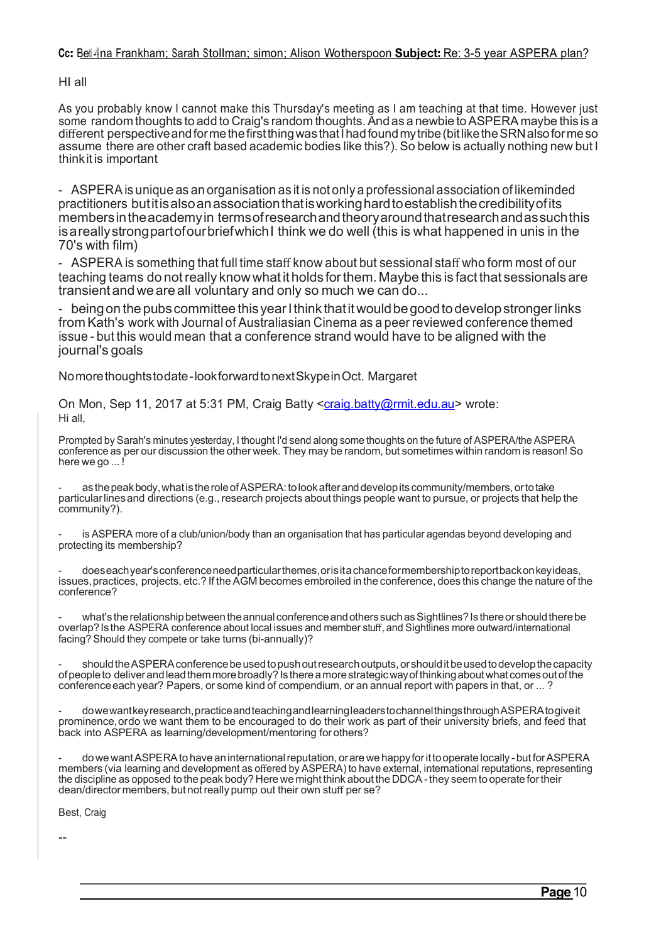## **Cc:** Bet<sub>t</sub>ina Frankham; Sarah Stollman; simon; Alison Wotherspoon **Subject:** Re: 3-5 year ASPERA plan?

HI all

As you probably know I cannot make this Thursday's meeting as I am teaching at that time. However just some random thoughts to add to Craig's random thoughts. And as a newbie to ASPERA maybe this is a different perspective and forme the first thing was that I had found my tribe (bit like the SRN also forme so assume there are other craft based academic bodies like this?). So below is actually nothing new but I thinkitis important

- ASPERAis unique as an organisation as it is not only a professional association of likeminded practitioners butitisalsoanassociationthatisworkinghardtoestablishthecredibilityofits membersintheacademyin termsofresearchandtheoryaroundthatresearchandassuchthis isareallystrongpartofourbriefwhichI think we do well (this is what happened in unis in the 70's with film)

- ASPERA is something that full time staff know about but sessional staff who form most of our teaching teams do not really know what it holds for them. Maybe this is fact that sessionals are transient andwe are all voluntary and only so much we can do...

- being on the pubs committee this year I think that it would be good to develop stronger links from Kath's work with Journal of Australiasian Cinema as a peer reviewed conference themed issue - but this would mean that a conference strand would have to be aligned with the journal's goals

Nomorethoughtstodate-lookforwardtonextSkypeinOct. Margaret

On Mon, Sep 11, 2017 at 5:31 PM, Craig Batty <craig.batty@rmit.edu.au> wrote: Hi all,

Prompted by Sarah's minutes yesterday, I thought I'd send along some thoughts on the future of ASPERA/the ASPERA conference as per our discussion the other week. They may be random, but sometimes within random is reason! So here we go ...!

as the peak body, what is the role of ASPERA: to look after and develop its community/members, or to take particularlinesand directions (e.g., research projects about things people want to pursue, or projects that help the community?).

is ASPERA more of a club/union/body than an organisation that has particular agendas beyond developing and protecting its membership?

- doeseachyear'sconferenceneedparticularthemes,orisitachanceformembershiptoreportbackonkeyideas, issues, practices, projects, etc.? If the AGM becomes embroiled in the conference, does this change the nature of the conference?

what's the relationship between the annual conference and others such as Sightlines? Is there or should there be overlap?Isthe ASPERA conference about local issues and member stuff, and Sightlines more outward/international facing? Should they compete or take turns (bi-annually)?

should the ASPERA conference be used to push out research outputs, or should it be used to develop the capacity of people to deliver and lead them more broadly? Is there a more strategic way of thinking about what comes out of the conference each year? Papers, or some kind of compendium, or an annual report with papers in that, or ...?

- dowewantkeyresearch,practiceandteachingandlearningleaderstochannelthingsthroughASPERAtogiveit prominence,ordo we want them to be encouraged to do their work as part of their university briefs, and feed that back into ASPERA as learning/development/mentoring for others?

dowe want ASPERA to have an international reputation, or are we happy for it to operate locally - but for ASPERA members (via learning and development as offered by ASPERA) to have external, international reputations, representing the discipline as opposed to the peak body? Here we might think about the DDCA - they seem to operate for their dean/director members, but notreally pump out their own stuff per se?

Best, Craig

--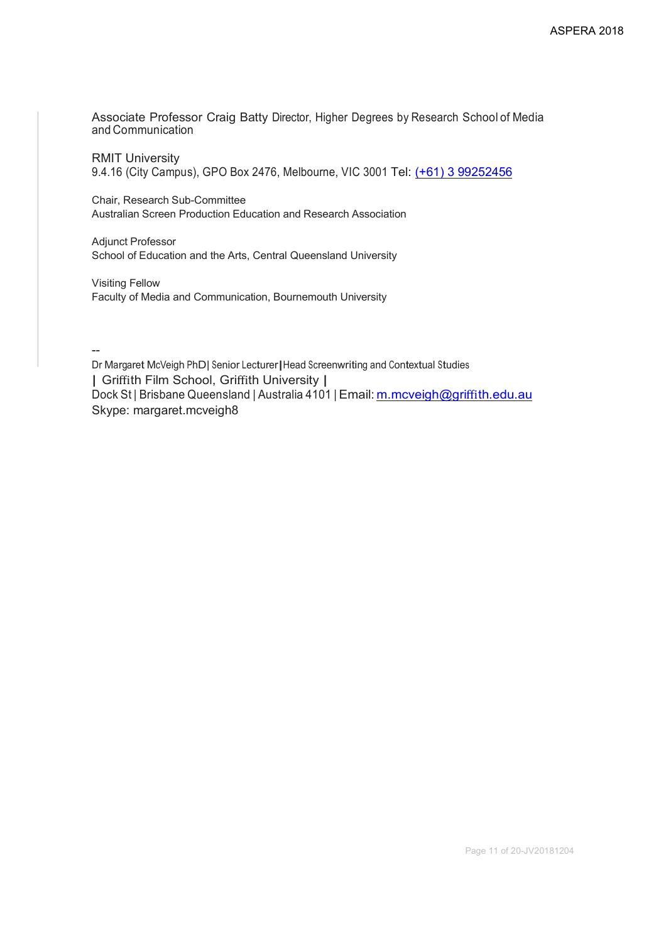Associate Professor Craig Batty Director, Higher Degrees by Research School of Media and Communication

RMIT University 9.4.16 (City Campus), GPO Box 2476, Melbourne, VIC 3001 Tel: (+61) 3 99252456

Chair, Research Sub-Committee Australian Screen Production Education and Research Association

Adjunct Professor School of Education and the Arts, Central Queensland University

Visiting Fellow Faculty of Media and Communication, Bournemouth University

--

Dr Margaret McVeigh PhD| Senior Lecturer|Head Screenwriting and Contextual Studies | Griffith Film School, Griffith University | Dock St | Brisbane Queensland | Australia 4101 | Email: m.mcveigh@griffith.edu.au Skype: margaret.mcveigh8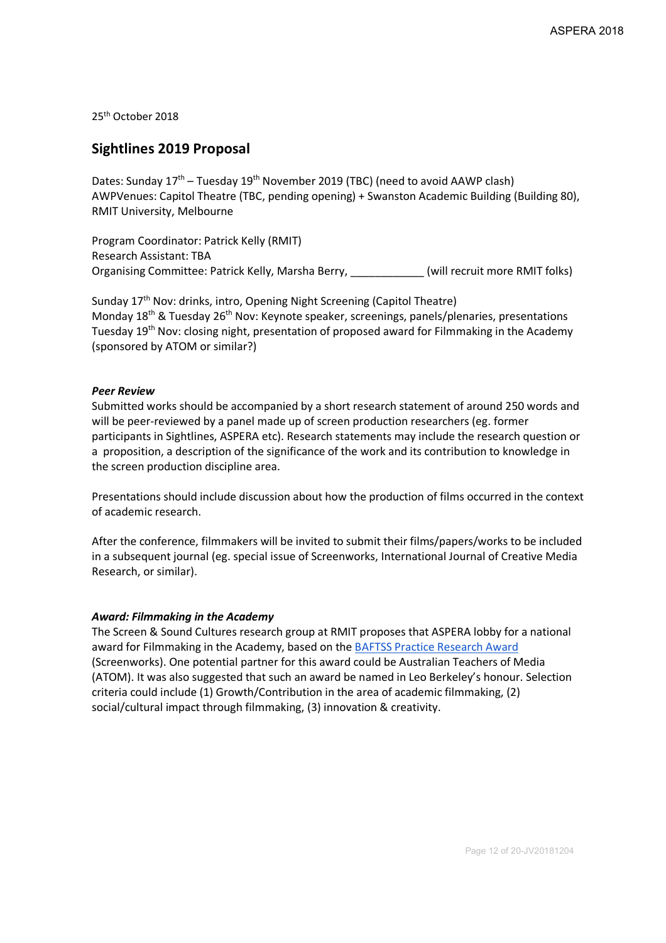25th October 2018

## **Sightlines 2019 Proposal**

Dates: Sunday  $17<sup>th</sup>$  – Tuesday  $19<sup>th</sup>$  November 2019 (TBC) (need to avoid AAWP clash) AWPVenues: Capitol Theatre (TBC, pending opening) + Swanston Academic Building (Building 80), RMIT University, Melbourne

Program Coordinator: Patrick Kelly (RMIT) Research Assistant: TBA Organising Committee: Patrick Kelly, Marsha Berry, \_\_\_\_\_\_\_\_\_\_\_\_ (will recruit more RMIT folks)

Sunday 17th Nov: drinks, intro, Opening Night Screening (Capitol Theatre) Monday 18<sup>th</sup> & Tuesday 26<sup>th</sup> Nov: Keynote speaker, screenings, panels/plenaries, presentations Tuesday 19<sup>th</sup> Nov: closing night, presentation of proposed award for Filmmaking in the Academy (sponsored by ATOM or similar?)

#### *Peer Review*

Submitted works should be accompanied by a short research statement of around 250 words and will be peer-reviewed by a panel made up of screen production researchers (eg. former participants in Sightlines, ASPERA etc). Research statements may include the research question or a proposition, a description of the significance of the work and its contribution to knowledge in the screen production discipline area.

Presentations should include discussion about how the production of films occurred in the context of academic research.

After the conference, filmmakers will be invited to submit their films/papers/works to be included in a subsequent journal (eg. special issue of Screenworks, International Journal of Creative Media Research, or similar).

#### *Award: Filmmaking in the Academy*

The Screen & Sound Cultures research group at RMIT proposes that ASPERA lobby for a national award for Filmmaking in the Academy, based on the BAFTSS Practice Research Award (Screenworks). One potential partner for this award could be Australian Teachers of Media (ATOM). It was also suggested that such an award be named in Leo Berkeley's honour. Selection criteria could include (1) Growth/Contribution in the area of academic filmmaking, (2) social/cultural impact through filmmaking, (3) innovation & creativity.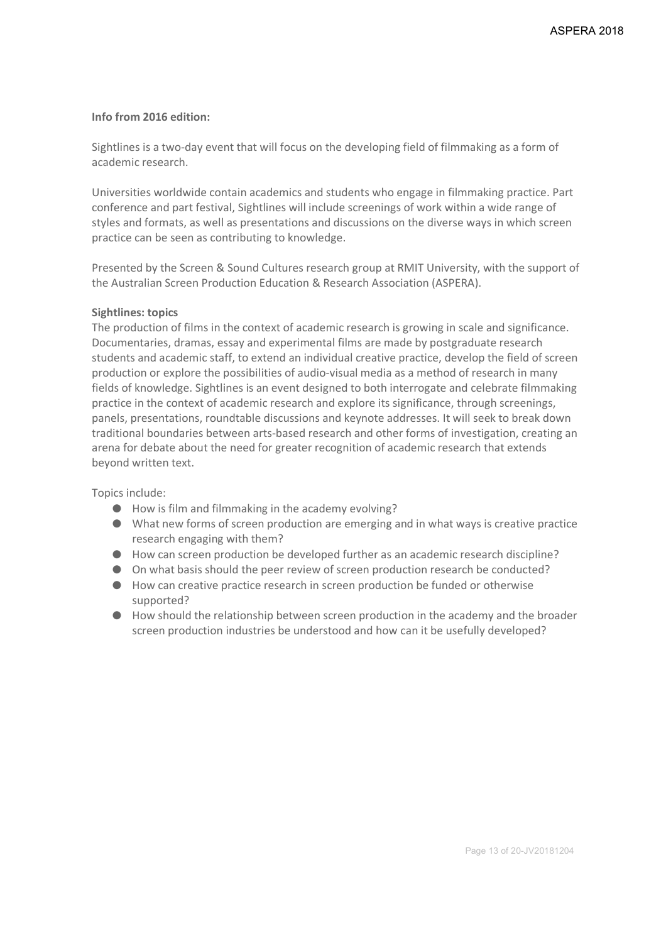### **Info from 2016 edition:**

Sightlines is a two-day event that will focus on the developing field of filmmaking as a form of academic research.

Universities worldwide contain academics and students who engage in filmmaking practice. Part conference and part festival, Sightlines will include screenings of work within a wide range of styles and formats, as well as presentations and discussions on the diverse ways in which screen practice can be seen as contributing to knowledge.

Presented by the Screen & Sound Cultures research group at RMIT University, with the support of the Australian Screen Production Education & Research Association (ASPERA).

#### **Sightlines: topics**

The production of films in the context of academic research is growing in scale and significance. Documentaries, dramas, essay and experimental films are made by postgraduate research students and academic staff, to extend an individual creative practice, develop the field of screen production or explore the possibilities of audio-visual media as a method of research in many fields of knowledge. Sightlines is an event designed to both interrogate and celebrate filmmaking practice in the context of academic research and explore its significance, through screenings, panels, presentations, roundtable discussions and keynote addresses. It will seek to break down traditional boundaries between arts-based research and other forms of investigation, creating an arena for debate about the need for greater recognition of academic research that extends beyond written text.

Topics include:

- How is film and filmmaking in the academy evolving?
- What new forms of screen production are emerging and in what ways is creative practice research engaging with them?
- How can screen production be developed further as an academic research discipline?
- On what basis should the peer review of screen production research be conducted?
- How can creative practice research in screen production be funded or otherwise supported?
- How should the relationship between screen production in the academy and the broader screen production industries be understood and how can it be usefully developed?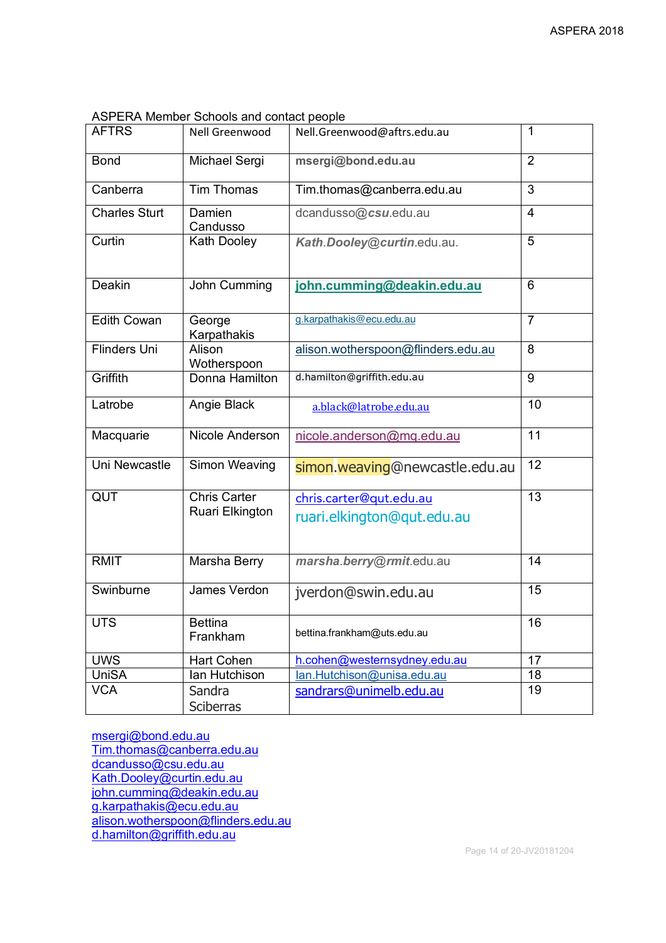| <b>AFTRS</b>         | <b>Nell Greenwood</b>                  | Nell.Greenwood@aftrs.edu.au                           | 1              |
|----------------------|----------------------------------------|-------------------------------------------------------|----------------|
| <b>Bond</b>          | Michael Sergi                          | msergi@bond.edu.au                                    | $\overline{2}$ |
| Canberra             | <b>Tim Thomas</b>                      | Tim.thomas@canberra.edu.au                            | 3              |
| <b>Charles Sturt</b> | Damien<br>Candusso                     | dcandusso@csu.edu.au                                  | $\overline{4}$ |
| Curtin               | Kath Dooley                            | Kath.Dooley@curtin.edu.au.                            | 5              |
| Deakin               | John Cumming                           | john.cumming@deakin.edu.au                            | 6              |
| <b>Edith Cowan</b>   | George<br>Karpathakis                  | g.karpathakis@ecu.edu.au                              | $\overline{7}$ |
| <b>Flinders Uni</b>  | Alison<br>Wotherspoon                  | alison.wotherspoon@flinders.edu.au                    | 8              |
| Griffith             | Donna Hamilton                         | d.hamilton@griffith.edu.au                            | 9              |
| Latrobe              | Angie Black                            | a.black@latrobe.edu.au                                | 10             |
| Macquarie            | Nicole Anderson                        | nicole.anderson@mq.edu.au                             | 11             |
| Uni Newcastle        | Simon Weaving                          | simon.weaving@newcastle.edu.au                        | 12             |
| QUT                  | <b>Chris Carter</b><br>Ruari Elkington | chris.carter@qut.edu.au<br>ruari.elkington@qut.edu.au | 13             |
| <b>RMIT</b>          | Marsha Berry                           | marsha.berry@rmit.edu.au                              | 14             |
| Swinburne            | James Verdon                           | jverdon@swin.edu.au                                   | 15             |
| <b>UTS</b>           | <b>Bettina</b><br>Frankham             | bettina.frankham@uts.edu.au                           | 16             |
| <b>UWS</b>           | <b>Hart Cohen</b>                      | h.cohen@westernsydney.edu.au                          | 17             |
| <b>UniSA</b>         | lan Hutchison                          | lan.Hutchison@unisa.edu.au                            | 18             |
| <b>VCA</b>           | Sandra<br>Sciberras                    | sandrars@unimelb.edu.au                               | 19             |

ASPERA Member Schools and contact people

msergi@bond.edu.au Tim.thomas@canberra.edu.au dcandusso@csu.edu.au Kath.Dooley@curtin.edu.au john.cumming@deakin.edu.au g.karpathakis@ecu.edu.au alison.wotherspoon@flinders.edu.au d.hamilton@griffith.edu.au